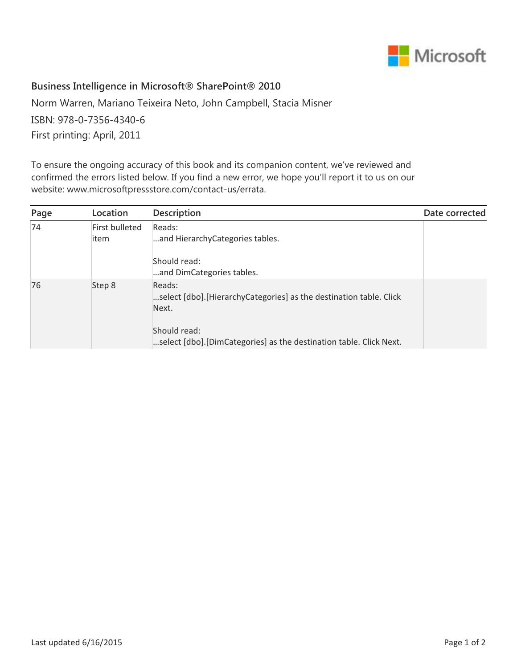

## **Business Intelligence in Microsoft® SharePoint® 2010**

Norm Warren, Mariano Teixeira Neto, John Campbell, Stacia Misner ISBN: 978-0-7356-4340-6 First printing: April, 2011

To ensure the ongoing accuracy of this book and its companion content, we've reviewed and confirmed the errors listed below. If you find a new error, we hope you'll report it to us on our website: www.microsoftpressstore.com/contact-us/errata.

| Page | Location       | <b>Description</b>                                                             | Date corrected |
|------|----------------|--------------------------------------------------------------------------------|----------------|
| 74   | First bulleted | Reads:                                                                         |                |
|      | item           | and HierarchyCategories tables.                                                |                |
|      |                | Should read:                                                                   |                |
|      |                | and DimCategories tables.                                                      |                |
| 76   | Step 8         | Reads:<br>select [dbo]. [Hierarchy Categories] as the destination table. Click |                |
|      |                | Next.                                                                          |                |
|      |                | Should read:                                                                   |                |
|      |                | select [dbo].[DimCategories] as the destination table. Click Next.             |                |